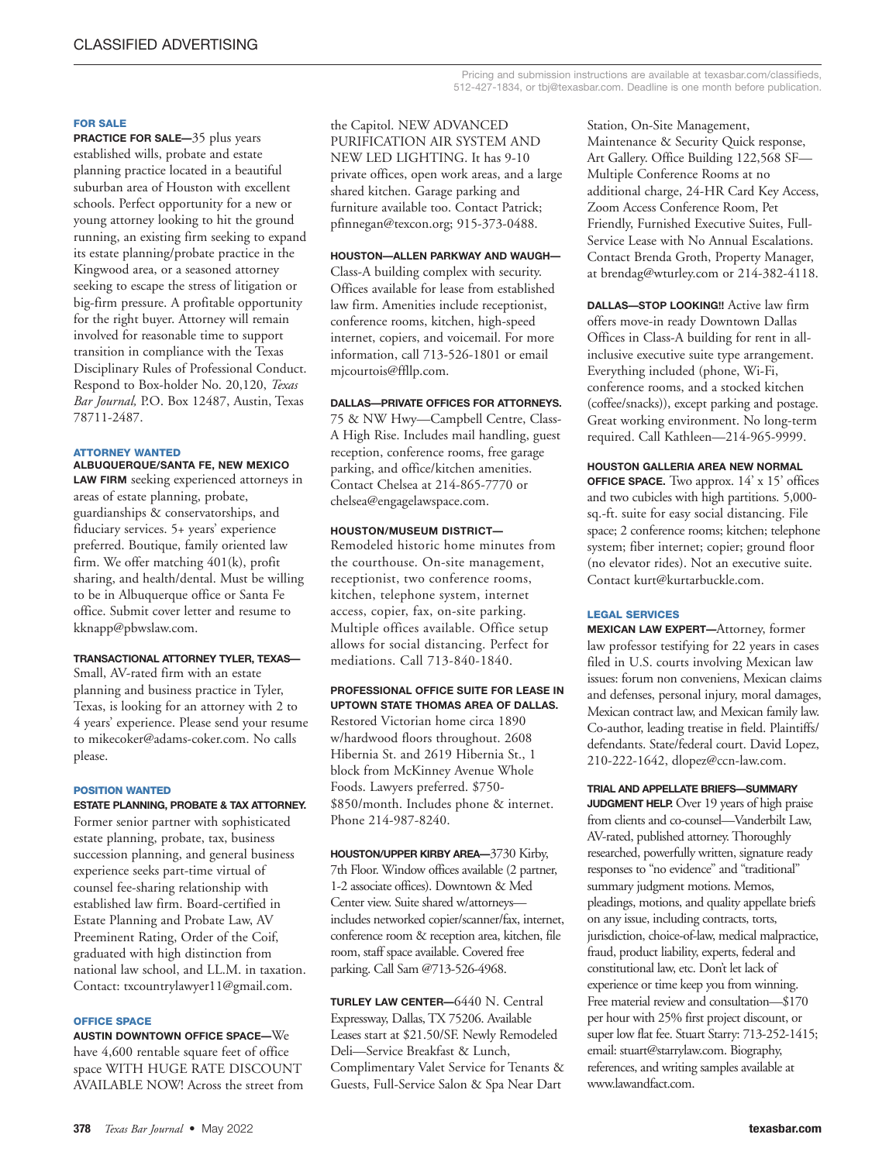Pricing and submission instructions are available at texasbar.com/classifieds, 512-427-1834, or tbj@texasbar.com. Deadline is one month before publication.

#### **FOR SALE**

**PRACTICE FOR SALE—35 plus years** established wills, probate and estate planning practice located in a beautiful suburban area of Houston with excellent schools. Perfect opportunity for a new or young attorney looking to hit the ground running, an existing firm seeking to expand its estate planning/probate practice in the Kingwood area, or a seasoned attorney seeking to escape the stress of litigation or big-firm pressure. A profitable opportunity for the right buyer. Attorney will remain involved for reasonable time to support transition in compliance with the Texas Disciplinary Rules of Professional Conduct. Respond to Box-holder No. 20,120, *Texas Bar Journal,* P.O. Box 12487, Austin, Texas 78711-2487.

## **ATTORNEY WANTED**

**ALBUQUERQUE/SANTA FE, NEW MEXICO**

**LAW FIRM** seeking experienced attorneys in areas of estate planning, probate, guardianships & conservatorships, and fiduciary services. 5+ years' experience preferred. Boutique, family oriented law firm. We offer matching 401(k), profit sharing, and health/dental. Must be willing to be in Albuquerque office or Santa Fe office. Submit cover letter and resume to kknapp@pbwslaw.com.

## **TRANSACTIONAL ATTORNEY TYLER, TEXAS—**

Small, AV-rated firm with an estate planning and business practice in Tyler, Texas, is looking for an attorney with 2 to 4 years' experience. Please send your resume to mikecoker@adams-coker.com. No calls please.

#### **POSITION WANTED**

**ESTATE PLANNING, PROBATE & TAX ATTORNEY.** Former senior partner with sophisticated estate planning, probate, tax, business succession planning, and general business experience seeks part-time virtual of counsel fee-sharing relationship with established law firm. Board-certified in Estate Planning and Probate Law, AV Preeminent Rating, Order of the Coif, graduated with high distinction from national law school, and LL.M. in taxation. Contact: txcountrylawyer11@gmail.com.

## **OFFICE SPACE**

**AUSTIN DOWNTOWN OFFICE SPACE—**We have 4,600 rentable square feet of office space WITH HUGE RATE DISCOUNT AVAILABLE NOW! Across the street from the Capitol. NEW ADVANCED

PURIFICATION AIR SYSTEM AND NEW LED LIGHTING. It has 9-10 private offices, open work areas, and a large shared kitchen. Garage parking and furniture available too. Contact Patrick; pfinnegan@texcon.org; 915-373-0488.

## **HOUSTON—ALLEN PARKWAY AND WAUGH—**

Class-A building complex with security. Offices available for lease from established law firm. Amenities include receptionist, conference rooms, kitchen, high-speed internet, copiers, and voicemail. For more information, call 713-526-1801 or email mjcourtois@ffllp.com.

## **DALLAS—PRIVATE OFFICES FOR ATTORNEYS.**

75 & NW Hwy—Campbell Centre, Class-A High Rise. Includes mail handling, guest reception, conference rooms, free garage parking, and office/kitchen amenities. Contact Chelsea at 214-865-7770 or chelsea@engagelawspace.com.

## **HOUSTON/MUSEUM DISTRICT—**

Remodeled historic home minutes from the courthouse. On-site management, receptionist, two conference rooms, kitchen, telephone system, internet access, copier, fax, on-site parking. Multiple offices available. Office setup allows for social distancing. Perfect for mediations. Call 713-840-1840.

#### **PROFESSIONAL OFFICE SUITE FOR LEASE IN UPTOWN STATE THOMAS AREA OF DALLAS.**

Restored Victorian home circa 1890 w/hardwood floors throughout. 2608 Hibernia St. and 2619 Hibernia St., 1 block from McKinney Avenue Whole Foods. Lawyers preferred. \$750- \$850/month. Includes phone & internet. Phone 214-987-8240.

**HOUSTON/UPPER KIRBY AREA—**3730 Kirby, 7th Floor. Window offices available (2 partner, 1-2 associate offices). Downtown & Med Center view. Suite shared w/attorneys includes networked copier/scanner/fax, internet, conference room & reception area, kitchen, file room, staff space available. Covered free parking. Call Sam @713-526-4968.

**TURLEY LAW CENTER—**6440 N. Central Expressway, Dallas, TX 75206. Available Leases start at \$21.50/SF. Newly Remodeled Deli—Service Breakfast & Lunch, Complimentary Valet Service for Tenants & Guests, Full-Service Salon & Spa Near Dart

Station, On-Site Management, Maintenance & Security Quick response, Art Gallery. Office Building 122,568 SF— Multiple Conference Rooms at no additional charge, 24-HR Card Key Access, Zoom Access Conference Room, Pet Friendly, Furnished Executive Suites, Full-Service Lease with No Annual Escalations. Contact Brenda Groth, Property Manager, at brendag@wturley.com or 214-382-4118.

**DALLAS—STOP LOOKING!!** Active law firm offers move-in ready Downtown Dallas Offices in Class-A building for rent in allinclusive executive suite type arrangement. Everything included (phone, Wi-Fi, conference rooms, and a stocked kitchen (coffee/snacks)), except parking and postage. Great working environment. No long-term required. Call Kathleen—214-965-9999.

## **HOUSTON GALLERIA AREA NEW NORMAL**

**OFFICE SPACE.** Two approx. 14' x 15' offices and two cubicles with high partitions. 5,000 sq.-ft. suite for easy social distancing. File space; 2 conference rooms; kitchen; telephone system; fiber internet; copier; ground floor (no elevator rides). Not an executive suite. Contact kurt@kurtarbuckle.com.

## **LEGAL SERVICES**

**MEXICAN LAW EXPERT—**Attorney, former law professor testifying for 22 years in cases filed in U.S. courts involving Mexican law issues: forum non conveniens, Mexican claims and defenses, personal injury, moral damages, Mexican contract law, and Mexican family law. Co-author, leading treatise in field. Plaintiffs/ defendants. State/federal court. David Lopez, 210-222-1642, dlopez@ccn-law.com.

# **TRIAL AND APPELLATE BRIEFS—SUMMARY**

**JUDGMENT HELP.** Over 19 years of high praise from clients and co-counsel—Vanderbilt Law, AV-rated, published attorney. Thoroughly researched, powerfully written, signature ready responses to "no evidence" and "traditional" summary judgment motions. Memos, pleadings, motions, and quality appellate briefs on any issue, including contracts, torts, jurisdiction, choice-of-law, medical malpractice, fraud, product liability, experts, federal and constitutional law, etc. Don't let lack of experience or time keep you from winning. Free material review and consultation—\$170 per hour with 25% first project discount, or super low flat fee. Stuart Starry: 713-252-1415; email: stuart@starrylaw.com. Biography, references, and writing samples available at www.lawandfact.com.